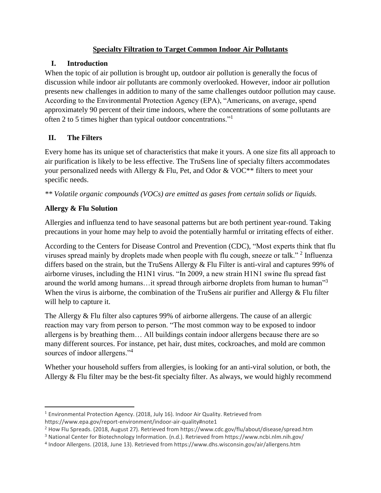## **Specialty Filtration to Target Common Indoor Air Pollutants**

## **I. Introduction**

When the topic of air pollution is brought up, outdoor air pollution is generally the focus of discussion while indoor air pollutants are commonly overlooked. However, indoor air pollution presents new challenges in addition to many of the same challenges outdoor pollution may cause. According to the Environmental Protection Agency (EPA), "Americans, on average, spend approximately 90 percent of their time indoors, where the concentrations of some pollutants are often 2 to 5 times higher than typical outdoor concentrations."<sup>1</sup>

# **II. The Filters**

Every home has its unique set of characteristics that make it yours. A one size fits all approach to air purification is likely to be less effective. The TruSens line of specialty filters accommodates your personalized needs with Allergy & Flu, Pet, and Odor & VOC\*\* filters to meet your specific needs.

*\*\* Volatile organic compounds (VOCs) are emitted as gases from certain solids or liquids.*

# **Allergy & Flu Solution**

 $\overline{\phantom{a}}$ 

Allergies and influenza tend to have seasonal patterns but are both pertinent year-round. Taking precautions in your home may help to avoid the potentially harmful or irritating effects of either.

According to the Centers for Disease Control and Prevention (CDC), "Most experts think that flu viruses spread mainly by droplets made when people with flu cough, sneeze or talk."<sup>2</sup> Influenza differs based on the strain, but the TruSens Allergy & Flu Filter is anti-viral and captures 99% of airborne viruses, including the H1N1 virus. "In 2009, a new strain H1N1 swine flu spread fast around the world among humans...it spread through airborne droplets from human to human"<sup>3</sup> When the virus is airborne, the combination of the TruSens air purifier and Allergy  $\&$  Flu filter will help to capture it.

The Allergy & Flu filter also captures 99% of airborne allergens. The cause of an allergic reaction may vary from person to person. "The most common way to be exposed to indoor allergens is by breathing them… All buildings contain indoor allergens because there are so many different sources. For instance, pet hair, dust mites, cockroaches, and mold are common sources of indoor allergens."<sup>4</sup>

Whether your household suffers from allergies, is looking for an anti-viral solution, or both, the Allergy & Flu filter may be the best-fit specialty filter. As always, we would highly recommend

 $1$  Environmental Protection Agency. (2018, July 16). Indoor Air Quality. Retrieved from https://www.epa.gov/report-environment/indoor-air-quality#note1

<sup>2</sup> How Flu Spreads. (2018, August 27). Retrieved from https://www.cdc.gov/flu/about/disease/spread.htm

<sup>3</sup> National Center for Biotechnology Information. (n.d.). Retrieved from https://www.ncbi.nlm.nih.gov/

<sup>4</sup> Indoor Allergens. (2018, June 13). Retrieved from https://www.dhs.wisconsin.gov/air/allergens.htm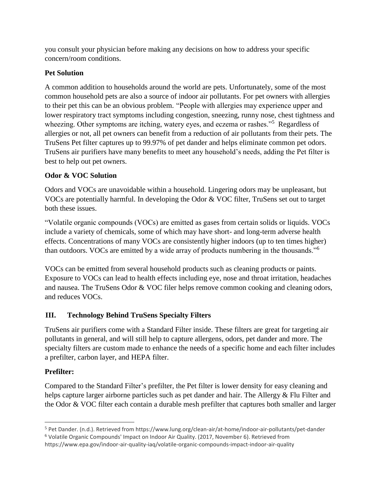you consult your physician before making any decisions on how to address your specific concern/room conditions.

## **Pet Solution**

A common addition to households around the world are pets. Unfortunately, some of the most common household pets are also a source of indoor air pollutants. For pet owners with allergies to their pet this can be an obvious problem. "People with allergies may experience upper and lower respiratory tract symptoms including congestion, sneezing, runny nose, chest tightness and wheezing. Other symptoms are itching, watery eyes, and eczema or rashes."<sup>5</sup> Regardless of allergies or not, all pet owners can benefit from a reduction of air pollutants from their pets. The TruSens Pet filter captures up to 99.97% of pet dander and helps eliminate common pet odors. TruSens air purifiers have many benefits to meet any household's needs, adding the Pet filter is best to help out pet owners.

# **Odor & VOC Solution**

Odors and VOCs are unavoidable within a household. Lingering odors may be unpleasant, but VOCs are potentially harmful. In developing the Odor & VOC filter, TruSens set out to target both these issues.

"Volatile organic compounds (VOCs) are emitted as gases from certain solids or liquids. VOCs include a variety of chemicals, some of which may have short- and long-term adverse health effects. Concentrations of many VOCs are consistently higher indoors (up to ten times higher) than outdoors. VOCs are emitted by a wide array of products numbering in the thousands."<sup>6</sup>

VOCs can be emitted from several household products such as cleaning products or paints. Exposure to VOCs can lead to health effects including eye, nose and throat irritation, headaches and nausea. The TruSens Odor & VOC filer helps remove common cooking and cleaning odors, and reduces VOCs.

# **III. Technology Behind TruSens Specialty Filters**

TruSens air purifiers come with a Standard Filter inside. These filters are great for targeting air pollutants in general, and will still help to capture allergens, odors, pet dander and more. The specialty filters are custom made to enhance the needs of a specific home and each filter includes a prefilter, carbon layer, and HEPA filter.

# **Prefilter:**

Compared to the Standard Filter's prefilter, the Pet filter is lower density for easy cleaning and helps capture larger airborne particles such as pet dander and hair. The Allergy & Flu Filter and the Odor & VOC filter each contain a durable mesh prefilter that captures both smaller and larger

 $\overline{a}$ <sup>5</sup> Pet Dander. (n.d.). Retrieved from https://www.lung.org/clean-air/at-home/indoor-air-pollutants/pet-dander <sup>6</sup> Volatile Organic Compounds' Impact on Indoor Air Quality. (2017, November 6). Retrieved from

https://www.epa.gov/indoor-air-quality-iaq/volatile-organic-compounds-impact-indoor-air-quality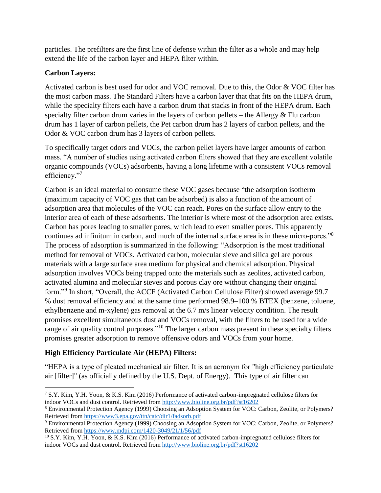particles. The prefilters are the first line of defense within the filter as a whole and may help extend the life of the carbon layer and HEPA filter within.

#### **Carbon Layers:**

Activated carbon is best used for odor and VOC removal. Due to this, the Odor & VOC filter has the most carbon mass. The Standard Filters have a carbon layer that that fits on the HEPA drum, while the specialty filters each have a carbon drum that stacks in front of the HEPA drum. Each specialty filter carbon drum varies in the layers of carbon pellets – the Allergy  $&$  Flu carbon drum has 1 layer of carbon pellets, the Pet carbon drum has 2 layers of carbon pellets, and the Odor & VOC carbon drum has 3 layers of carbon pellets.

To specifically target odors and VOCs, the carbon pellet layers have larger amounts of carbon mass. "A number of studies using activated carbon filters showed that they are excellent volatile organic compounds (VOCs) adsorbents, having a long lifetime with a consistent VOCs removal efficiency."<sup>7</sup>

Carbon is an ideal material to consume these VOC gases because "the adsorption isotherm (maximum capacity of VOC gas that can be adsorbed) is also a function of the amount of adsorption area that molecules of the VOC can reach. Pores on the surface allow entry to the interior area of each of these adsorbents. The interior is where most of the adsorption area exists. Carbon has pores leading to smaller pores, which lead to even smaller pores. This apparently continues ad infinitum in carbon, and much of the internal surface area is in these micro-pores."<sup>8</sup> The process of adsorption is summarized in the following: "Adsorption is the most traditional method for removal of VOCs. Activated carbon, molecular sieve and silica gel are porous materials with a large surface area medium for physical and chemical adsorption. Physical adsorption involves VOCs being trapped onto the materials such as zeolites, activated carbon, activated alumina and molecular sieves and porous clay ore without changing their original form."<sup>9</sup> In short, "Overall, the ACCF (Activated Carbon Cellulose Filter) showed average 99.7 % dust removal efficiency and at the same time performed 98.9–100 % BTEX (benzene, toluene, ethylbenzene and m-xylene) gas removal at the 6.7 m/s linear velocity condition. The result promises excellent simultaneous dust and VOCs removal, with the filters to be used for a wide range of air quality control purposes."<sup>10</sup> The larger carbon mass present in these specialty filters promises greater adsorption to remove offensive odors and VOCs from your home.

## **High Efficiency Particulate Air (HEPA) Filters:**

 $\overline{a}$ 

"HEPA is a type of pleated mechanical air filter. It is an acronym for "high efficiency particulate air [filter]" (as officially defined by the U.S. Dept. of Energy). This type of air filter can

<sup>&</sup>lt;sup>7</sup> S.Y. Kim, Y.H. Yoon, & K.S. Kim (2016) Performance of activated carbon-impregnated cellulose filters for indoor VOCs and dust control. Retrieved from <http://www.bioline.org.br/pdf?st16202>

<sup>8</sup> Environmental Protection Agency (1999) Choosing an Adsoption System for VOC: Carbon, Zeolite, or Polymers? Retrieved from<https://www3.epa.gov/ttn/catc/dir1/fadsorb.pdf>

<sup>9</sup> Environmental Protection Agency (1999) Choosing an Adsoption System for VOC: Carbon, Zeolite, or Polymers? Retrieved from<https://www.mdpi.com/1420-3049/21/1/56/pdf>

<sup>&</sup>lt;sup>10</sup> S.Y. Kim, Y.H. Yoon,  $\&$  K.S. Kim (2016) Performance of activated carbon-impregnated cellulose filters for indoor VOCs and dust control. Retrieved from <http://www.bioline.org.br/pdf?st16202>